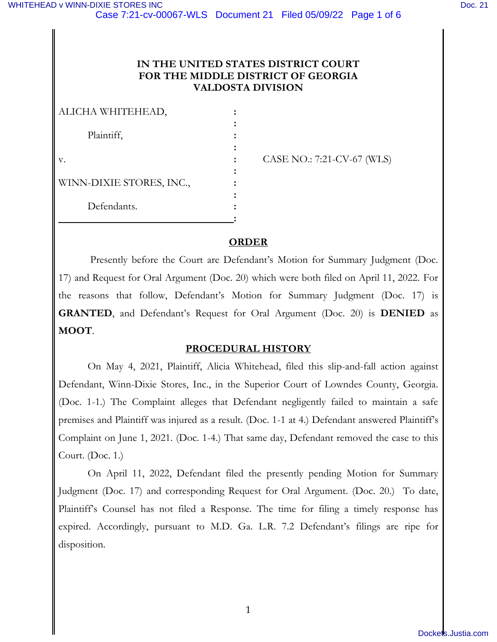# **IN THE UNITED STATES DISTRICT COURT FOR THE MIDDLE DISTRICT OF GEORGIA VALDOSTA DIVISION**

| ALICHA WHITEHEAD,        |  |
|--------------------------|--|
| Plaintiff,               |  |
|                          |  |
| v.                       |  |
|                          |  |
| WINN-DIXIE STORES, INC., |  |
|                          |  |
| Defendants.              |  |
|                          |  |

v. **:** CASE NO.: 7:21-CV-67 (WLS)

# **ORDER**

 Presently before the Court are Defendant's Motion for Summary Judgment (Doc. 17) and Request for Oral Argument (Doc. 20) which were both filed on April 11, 2022. For the reasons that follow, Defendant's Motion for Summary Judgment (Doc. 17) is **GRANTED**, and Defendant's Request for Oral Argument (Doc. 20) is **DENIED** as **MOOT**.

# **PROCEDURAL HISTORY**

 On May 4, 2021, Plaintiff, Alicia Whitehead, filed this slip-and-fall action against Defendant, Winn-Dixie Stores, Inc., in the Superior Court of Lowndes County, Georgia. (Doc. 1-1.) The Complaint alleges that Defendant negligently failed to maintain a safe premises and Plaintiff was injured as a result. (Doc. 1-1 at 4.) Defendant answered Plaintiff's Complaint on June 1, 2021. (Doc. 1-4.) That same day, Defendant removed the case to this Court. (Doc. 1.)

 On April 11, 2022, Defendant filed the presently pending Motion for Summary Judgment (Doc. 17) and corresponding Request for Oral Argument. (Doc. 20.) To date, Plaintiff's Counsel has not filed a Response. The time for filing a timely response has expired. Accordingly, pursuant to M.D. Ga. L.R. 7.2 Defendant's filings are ripe for disposition.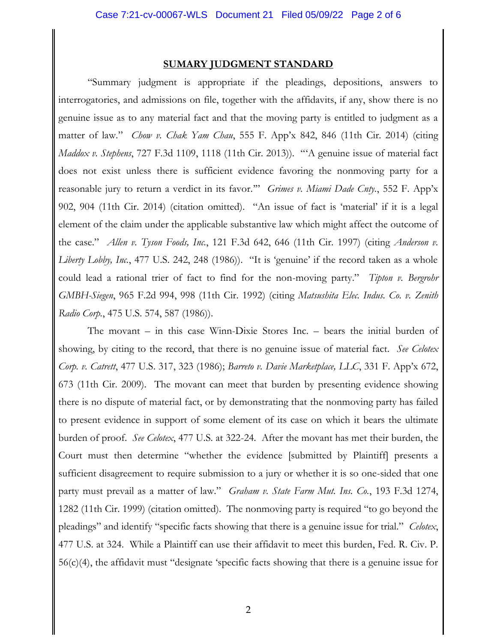#### **SUMARY JUDGMENT STANDARD**

"Summary judgment is appropriate if the pleadings, depositions, answers to interrogatories, and admissions on file, together with the affidavits, if any, show there is no genuine issue as to any material fact and that the moving party is entitled to judgment as a matter of law." *Chow v. Chak Yam Chau*, 555 F. App'x 842, 846 (11th Cir. 2014) (citing *Maddox v. Stephens*, 727 F.3d 1109, 1118 (11th Cir. 2013)). "'A genuine issue of material fact does not exist unless there is sufficient evidence favoring the nonmoving party for a reasonable jury to return a verdict in its favor.'" *Grimes v. Miami Dade Cnty.*, 552 F. App'x 902, 904 (11th Cir. 2014) (citation omitted). "An issue of fact is 'material' if it is a legal element of the claim under the applicable substantive law which might affect the outcome of the case." *Allen v. Tyson Foods, Inc.*, 121 F.3d 642, 646 (11th Cir. 1997) (citing *Anderson v. Liberty Lobby, Inc.*, 477 U.S. 242, 248 (1986)). "It is 'genuine' if the record taken as a whole could lead a rational trier of fact to find for the non-moving party." *Tipton v. Bergrohr GMBH-Siegen*, 965 F.2d 994, 998 (11th Cir. 1992) (citing *Matsushita Elec. Indus. Co. v. Zenith Radio Corp.*, 475 U.S. 574, 587 (1986)).

 The movant – in this case Winn-Dixie Stores Inc. – bears the initial burden of showing, by citing to the record, that there is no genuine issue of material fact. *See Celotex Corp. v. Catrett*, 477 U.S. 317, 323 (1986); *Barreto v. Davie Marketplace, LLC*, 331 F. App'x 672, 673 (11th Cir. 2009). The movant can meet that burden by presenting evidence showing there is no dispute of material fact, or by demonstrating that the nonmoving party has failed to present evidence in support of some element of its case on which it bears the ultimate burden of proof. *See Celotex*, 477 U.S. at 322-24. After the movant has met their burden, the Court must then determine "whether the evidence [submitted by Plaintiff] presents a sufficient disagreement to require submission to a jury or whether it is so one-sided that one party must prevail as a matter of law." *Graham v. State Farm Mut. Ins. Co.*, 193 F.3d 1274, 1282 (11th Cir. 1999) (citation omitted). The nonmoving party is required "to go beyond the pleadings" and identify "specific facts showing that there is a genuine issue for trial." *Celotex*, 477 U.S. at 324. While a Plaintiff can use their affidavit to meet this burden, Fed. R. Civ. P. 56(c)(4), the affidavit must "designate 'specific facts showing that there is a genuine issue for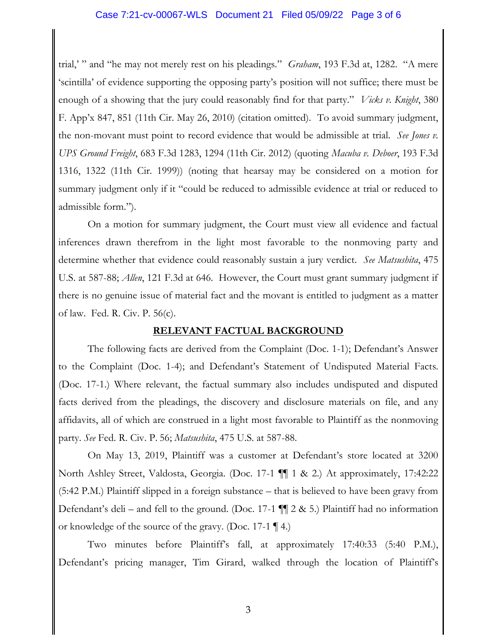## Case 7:21-cv-00067-WLS Document 21 Filed 05/09/22 Page 3 of 6

trial,' " and "he may not merely rest on his pleadings." *Graham*, 193 F.3d at, 1282. "A mere 'scintilla' of evidence supporting the opposing party's position will not suffice; there must be enough of a showing that the jury could reasonably find for that party." *Vicks v. Knight*, 380 F. App'x 847, 851 (11th Cir. May 26, 2010) (citation omitted). To avoid summary judgment, the non-movant must point to record evidence that would be admissible at trial. *See Jones v. UPS Ground Freight*, 683 F.3d 1283, 1294 (11th Cir. 2012) (quoting *Macuba v. Deboer*, 193 F.3d 1316, 1322 (11th Cir. 1999)) (noting that hearsay may be considered on a motion for summary judgment only if it "could be reduced to admissible evidence at trial or reduced to admissible form.").

 On a motion for summary judgment, the Court must view all evidence and factual inferences drawn therefrom in the light most favorable to the nonmoving party and determine whether that evidence could reasonably sustain a jury verdict. *See Matsushita*, 475 U.S. at 587-88; *Allen*, 121 F.3d at 646. However, the Court must grant summary judgment if there is no genuine issue of material fact and the movant is entitled to judgment as a matter of law. Fed. R. Civ. P. 56(c).

#### **RELEVANT FACTUAL BACKGROUND**

 The following facts are derived from the Complaint (Doc. 1-1); Defendant's Answer to the Complaint (Doc. 1-4); and Defendant's Statement of Undisputed Material Facts. (Doc. 17-1.) Where relevant, the factual summary also includes undisputed and disputed facts derived from the pleadings, the discovery and disclosure materials on file, and any affidavits, all of which are construed in a light most favorable to Plaintiff as the nonmoving party. *See* Fed. R. Civ. P. 56; *Matsushita*, 475 U.S. at 587-88.

 On May 13, 2019, Plaintiff was a customer at Defendant's store located at 3200 North Ashley Street, Valdosta, Georgia. (Doc. 17-1 ¶¶ 1 & 2.) At approximately, 17:42:22 (5:42 P.M.) Plaintiff slipped in a foreign substance – that is believed to have been gravy from Defendant's deli – and fell to the ground. (Doc. 17-1  $\P$  2 & 5.) Plaintiff had no information or knowledge of the source of the gravy. (Doc. 17-1 ¶ 4.)

Two minutes before Plaintiff's fall, at approximately 17:40:33 (5:40 P.M.), Defendant's pricing manager, Tim Girard, walked through the location of Plaintiff's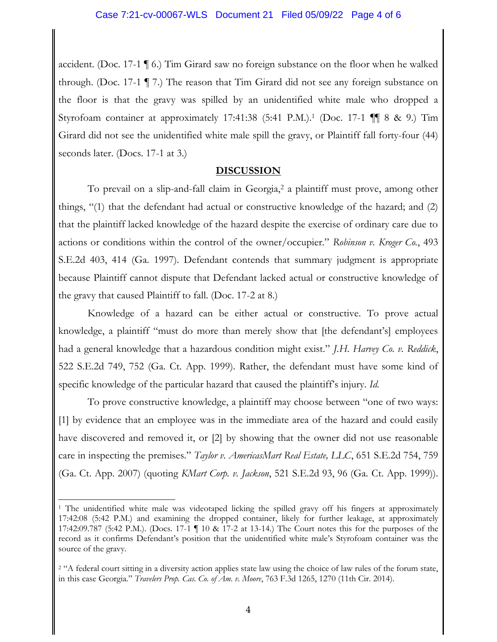accident. (Doc. 17-1 ¶ 6.) Tim Girard saw no foreign substance on the floor when he walked through. (Doc. 17-1 ¶ 7.) The reason that Tim Girard did not see any foreign substance on the floor is that the gravy was spilled by an unidentified white male who dropped a Styrofoam container at approximately 17:41:38 (5:41 P.M.). 1 (Doc. 17-1 ¶¶ 8 & 9.) Tim Girard did not see the unidentified white male spill the gravy, or Plaintiff fall forty-four (44) seconds later. (Docs. 17-1 at 3.)

# **DISCUSSION**

To prevail on a slip-and-fall claim in Georgia,<sup>2</sup> a plaintiff must prove, among other things, "(1) that the defendant had actual or constructive knowledge of the hazard; and (2) that the plaintiff lacked knowledge of the hazard despite the exercise of ordinary care due to actions or conditions within the control of the owner/occupier." *Robinson v. Kroger Co.*, 493 S.E.2d 403, 414 (Ga. 1997). Defendant contends that summary judgment is appropriate because Plaintiff cannot dispute that Defendant lacked actual or constructive knowledge of the gravy that caused Plaintiff to fall. (Doc. 17-2 at 8.)

Knowledge of a hazard can be either actual or constructive. To prove actual knowledge, a plaintiff "must do more than merely show that [the defendant's] employees had a general knowledge that a hazardous condition might exist." *J.H. Harvey Co. v. Reddick*, 522 S.E.2d 749, 752 (Ga. Ct. App. 1999). Rather, the defendant must have some kind of specific knowledge of the particular hazard that caused the plaintiff's injury. *Id.*

To prove constructive knowledge, a plaintiff may choose between "one of two ways: [1] by evidence that an employee was in the immediate area of the hazard and could easily have discovered and removed it, or [2] by showing that the owner did not use reasonable care in inspecting the premises." *Taylor v. AmericasMart Real Estate, LLC*, 651 S.E.2d 754, 759 (Ga. Ct. App. 2007) (quoting *KMart Corp. v. Jackson*, 521 S.E.2d 93, 96 (Ga. Ct. App. 1999)).

<sup>&</sup>lt;sup>1</sup> The unidentified white male was videotaped licking the spilled gravy off his fingers at approximately 17:42:08 (5:42 P.M.) and examining the dropped container, likely for further leakage, at approximately 17:42:09.787 (5:42 P.M.). (Docs. 17-1 ¶ 10 & 17-2 at 13-14.) The Court notes this for the purposes of the record as it confirms Defendant's position that the unidentified white male's Styrofoam container was the source of the gravy.

<sup>&</sup>lt;sup>2</sup> "A federal court sitting in a diversity action applies state law using the choice of law rules of the forum state, in this case Georgia." *Travelers Prop. Cas. Co. of Am. v. Moore*, 763 F.3d 1265, 1270 (11th Cir. 2014).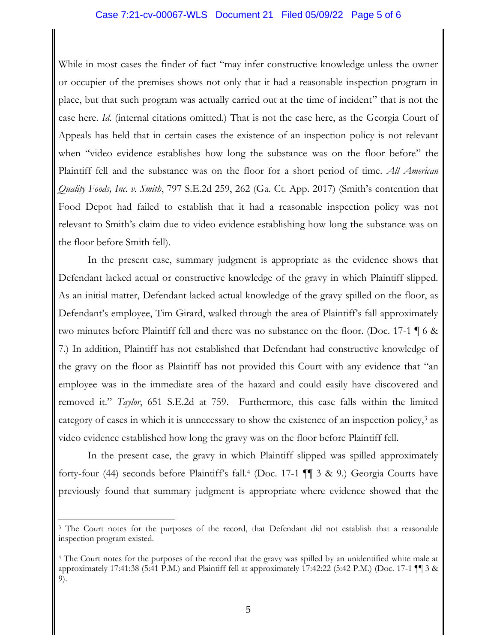### Case 7:21-cv-00067-WLS Document 21 Filed 05/09/22 Page 5 of 6

While in most cases the finder of fact "may infer constructive knowledge unless the owner or occupier of the premises shows not only that it had a reasonable inspection program in place, but that such program was actually carried out at the time of incident" that is not the case here. *Id*. (internal citations omitted.) That is not the case here, as the Georgia Court of Appeals has held that in certain cases the existence of an inspection policy is not relevant when "video evidence establishes how long the substance was on the floor before" the Plaintiff fell and the substance was on the floor for a short period of time. *All American Quality Foods, Inc. v. Smith*, 797 S.E.2d 259, 262 (Ga. Ct. App. 2017) (Smith's contention that Food Depot had failed to establish that it had a reasonable inspection policy was not relevant to Smith's claim due to video evidence establishing how long the substance was on the floor before Smith fell).

In the present case, summary judgment is appropriate as the evidence shows that Defendant lacked actual or constructive knowledge of the gravy in which Plaintiff slipped. As an initial matter, Defendant lacked actual knowledge of the gravy spilled on the floor, as Defendant's employee, Tim Girard, walked through the area of Plaintiff's fall approximately two minutes before Plaintiff fell and there was no substance on the floor. (Doc. 17-1 ¶ 6 & 7.) In addition, Plaintiff has not established that Defendant had constructive knowledge of the gravy on the floor as Plaintiff has not provided this Court with any evidence that "an employee was in the immediate area of the hazard and could easily have discovered and removed it." *Taylor*, 651 S.E.2d at 759. Furthermore, this case falls within the limited category of cases in which it is unnecessary to show the existence of an inspection policy,<sup>3</sup> as video evidence established how long the gravy was on the floor before Plaintiff fell.

In the present case, the gravy in which Plaintiff slipped was spilled approximately forty-four (44) seconds before Plaintiff's fall.<sup>4</sup> (Doc. 17-1 ¶¶ 3 & 9.) Georgia Courts have previously found that summary judgment is appropriate where evidence showed that the

<sup>&</sup>lt;sup>3</sup> The Court notes for the purposes of the record, that Defendant did not establish that a reasonable inspection program existed.

<sup>4</sup> The Court notes for the purposes of the record that the gravy was spilled by an unidentified white male at approximately 17:41:38 (5:41 P.M.) and Plaintiff fell at approximately 17:42:22 (5:42 P.M.) (Doc. 17-1 ¶¶ 3 & 9).